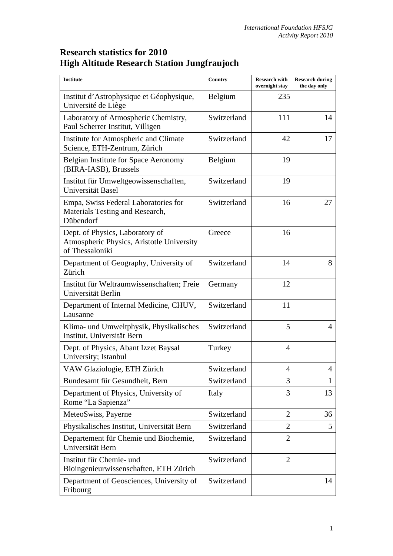## **Research statistics for 2010 High Altitude Research Station Jungfraujoch**

| <b>Institute</b>                                                                                | Country     | <b>Research with</b><br>overnight stay | <b>Research during</b><br>the day only |
|-------------------------------------------------------------------------------------------------|-------------|----------------------------------------|----------------------------------------|
| Institut d'Astrophysique et Géophysique,<br>Université de Liège                                 | Belgium     | 235                                    |                                        |
| Laboratory of Atmospheric Chemistry,<br>Paul Scherrer Institut, Villigen                        | Switzerland | 111                                    | 14                                     |
| Institute for Atmospheric and Climate<br>Science, ETH-Zentrum, Zürich                           | Switzerland | 42                                     | 17                                     |
| Belgian Institute for Space Aeronomy<br>(BIRA-IASB), Brussels                                   | Belgium     | 19                                     |                                        |
| Institut für Umweltgeowissenschaften,<br>Universität Basel                                      | Switzerland | 19                                     |                                        |
| Empa, Swiss Federal Laboratories for<br>Materials Testing and Research,<br>Dübendorf            | Switzerland | 16                                     | 27                                     |
| Dept. of Physics, Laboratory of<br>Atmospheric Physics, Aristotle University<br>of Thessaloniki | Greece      | 16                                     |                                        |
| Department of Geography, University of<br>Zürich                                                | Switzerland | 14                                     | 8                                      |
| Institut für Weltraumwissenschaften; Freie<br>Universität Berlin                                | Germany     | 12                                     |                                        |
| Department of Internal Medicine, CHUV,<br>Lausanne                                              | Switzerland | 11                                     |                                        |
| Klima- und Umweltphysik, Physikalisches<br>Institut, Universität Bern                           | Switzerland | 5                                      | 4                                      |
| Dept. of Physics, Abant Izzet Baysal<br>University; Istanbul                                    | Turkey      | 4                                      |                                        |
| VAW Glaziologie, ETH Zürich                                                                     | Switzerland | $\overline{4}$                         | $\overline{4}$                         |
| Bundesamt für Gesundheit, Bern                                                                  | Switzerland | 3                                      | 1                                      |
| Department of Physics, University of<br>Rome "La Sapienza"                                      | Italy       | 3                                      | 13                                     |
| MeteoSwiss, Payerne                                                                             | Switzerland | $\overline{2}$                         | 36                                     |
| Physikalisches Institut, Universität Bern                                                       | Switzerland | $\overline{2}$                         | 5                                      |
| Departement für Chemie und Biochemie,<br>Universität Bern                                       | Switzerland | $\overline{2}$                         |                                        |
| Institut für Chemie- und<br>Bioingenieurwissenschaften, ETH Zürich                              | Switzerland | $\overline{2}$                         |                                        |
| Department of Geosciences, University of<br>Fribourg                                            | Switzerland |                                        | 14                                     |